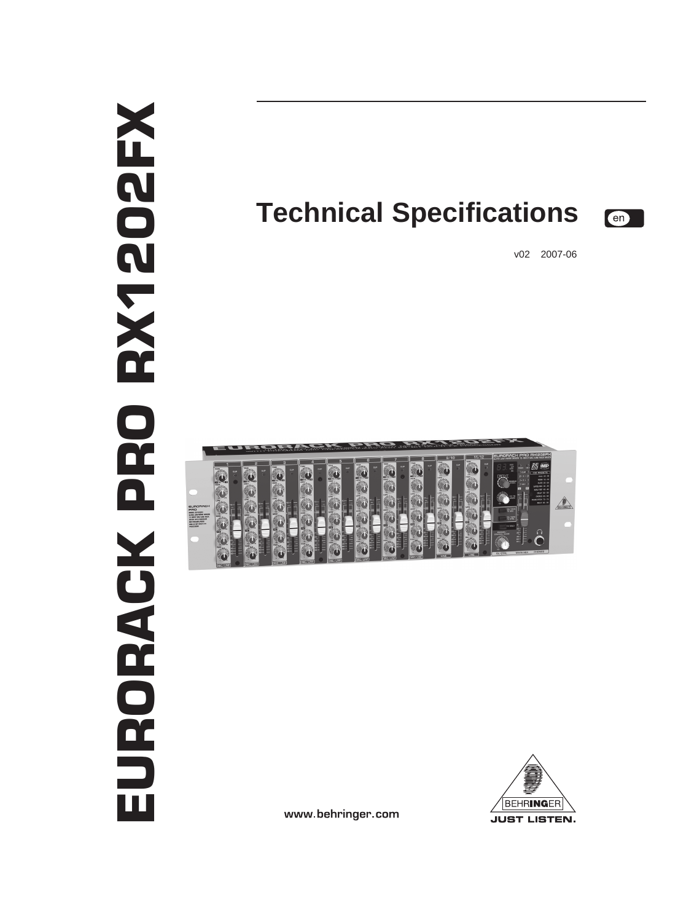# EURORACK PRO RX1202FXN1202N EURORACK PRO

# **Technical Specifications**



v02 2007-06





www.behringer.com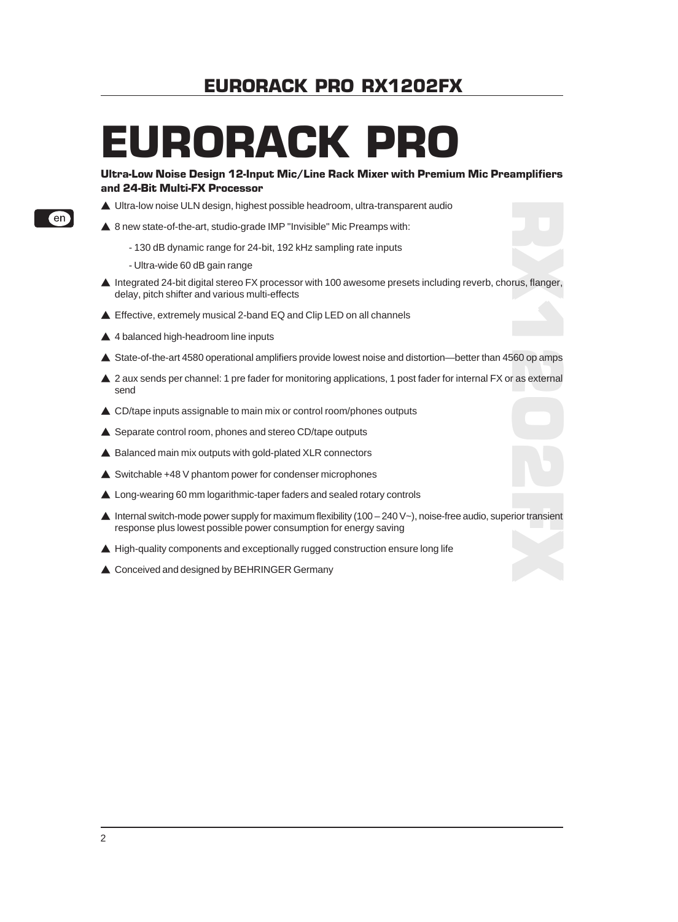# EURORACK PRO

#### Ultra-Low Noise Design 12-Input Mic/Line Rack Mixer with Premium Mic Preamplifiers and 24-Bit Multi-FX Processor

- ▲ Ultra-low noise ULN design, highest possible headroom, ultra-transparent audio
- ▲ 8 new state-of-the-art, studio-grade IMP "Invisible" Mic Preamps with:
	- 130 dB dynamic range for 24-bit, 192 kHz sampling rate inputs
	- Ultra-wide 60 dB gain range
- $\blacktriangle$  Integrated 24-bit digital stereo FX processor with 100 awesome presets including reverb, chorus, flanger, delay, pitch shifter and various multi-effects
- ▲ Effective, extremely musical 2-band EQ and Clip LED on all channels
- $\triangle$  4 balanced high-headroom line inputs
- ▲ State-of-the-art 4580 operational amplifiers provide lowest noise and distortion—better than 4560 op amps
- ▲ 2 aux sends per channel: 1 pre fader for monitoring applications, 1 post fader for internal FX or as external send
- $\triangle$  CD/tape inputs assignable to main mix or control room/phones outputs
- $\triangle$  Separate control room, phones and stereo CD/tape outputs
- $\triangle$  Balanced main mix outputs with gold-plated XLR connectors
- $\triangle$  Switchable +48 V phantom power for condenser microphones
- ▲ Long-wearing 60 mm logarithmic-taper faders and sealed rotary controls
- $\blacktriangle$  Internal switch-mode power supply for maximum flexibility (100 240 V~), noise-free audio, superior transient response plus lowest possible power consumption for energy saving
- $\blacktriangle$  High-quality components and exceptionally rugged construction ensure long life
- ▲ Conceived and designed by BEHRINGER Germany



 $[en]$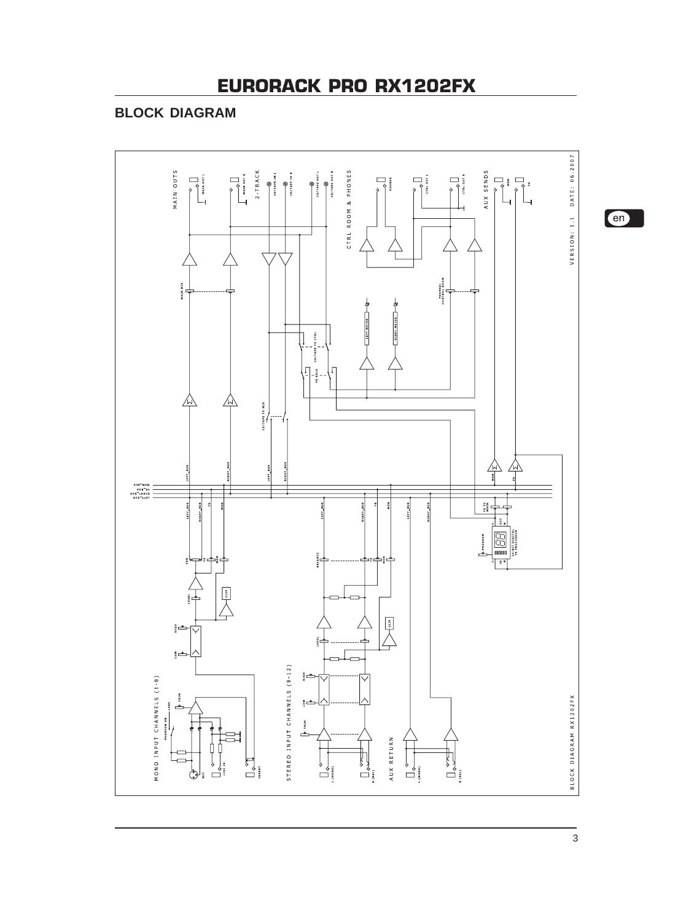# **BLOCK DIAGRAM**



en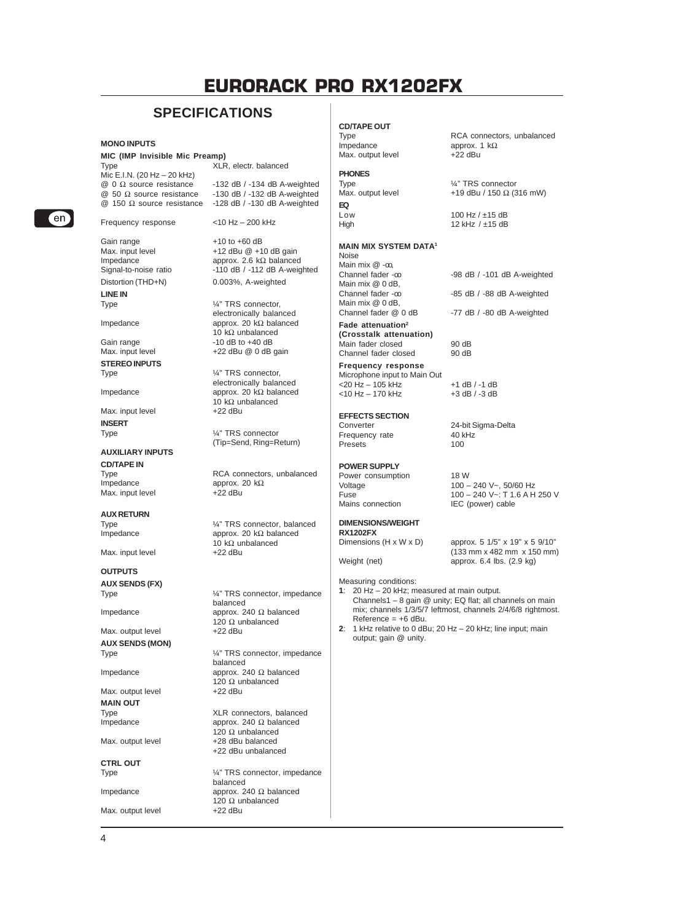# **SPECIFICATIONS**

#### **MONO INPUTS**

# **MIC (IMP Invisible Mic Preamp)**

Mic E.I.N. (20 Hz – 20 kHz)<br>  $@ 0 \Omega$  source resistance  $\begin{array}{ll}\n\textcircled{0} & \Omega \text{ source resistance} \\
\textcircled{0} & \Omega \text{ source resistance}\n\end{array}$  -132 dB / -132 dB A-weighted  $\textcircled{2}$  50 Ω source resistance -130 dB / -132 dB A-weighted  $\textcircled{2}$  150 Ω source resistance -128 dB / -130 dB A-weighted

Gain range  $+10$  to  $+60$  dB<br>Max. input level  $+12$  dBu @  $+1$ 

**LINE IN**

**STEREO INPUTS** Type  $\frac{1}{4}$  TRS connector,

Max. input level **INSERT**

#### **AUXILIARY INPUTS**

**CD/TAPE IN** Max. input level

**AUX RETURN**

Max. input level

## **OUTPUTS**

**AUX SENDS (FX)**

Max. output level **AUX SENDS (MON)**

Max. output level **MAIN OUT**

**CTRL OUT**

4

Max. output level

XLR, electr. balanced

 $-128$  dB  $/ -130$  dB A-weighted

Frequency response <10 Hz – 200 kHz

Max. input level +12 dBu @ +10 dB gain<br>Impedance approx. 2.6 kΩ balanced Impedance approx. 2.6 kΩ balanced<br>Signal-to-noise ratio -110 dB / -112 dB A-weig  $-110$  dB /  $-112$  dB A-weighted Distortion (THD+N) 0.003%, A-weighted

1⁄4" TRS connector, electronically balanced Impedance approx. 20 kΩ balanced 10 kΩ unbalanced Gain range -10 dB to +40 dB<br>Max. input level +22 dBu @ 0 dB +22 dBu  $@$  0 dB gain

electronically balanced Impedance approx. 20 kΩ balanced 10 kΩ unbalanced<br>+22 dBu

> 1/4" TRS connector (Tip=Send, Ring=Return)

Type  $RCA$  connectors, unbalanced<br>Impedance  $\qquad \qquad \text{approx. } 20 \text{ k}\Omega$ approx. 20 kΩ<br>+22 dBu

Type  $\frac{1}{4}$ " TRS connector, balanced Impedance approx. 20 kΩ balanced 10 kΩ unbalanced<br>+22 dBu

1/4" TRS connector, impedance balanced Impedance approx. 240 Ω balanced 120  $Ω$  unbalanced<br>+22 dBu

Type  $\frac{1}{4}$  TRS connector, impedance balanced Impedance approx. 240 Ω balanced 120  $\Omega$  unbalanced<br>+22 dBu

Type  $XLR$  connectors, balanced<br>Impedance approx. 240  $\Omega$  balanced approx. 240  $Ω$  balanced 120  $\Omega$  unbalanced Max. output level +28 dBu balanced +22 dBu unbalanced

Type  $\frac{1}{4}$  TRS connector, impedance balanced Impedance approx. 240  $\Omega$  balanced 120  $Ω$  unbalanced<br>+22 dBu

### **CD/TAPE OUT**

Type RCA connectors, unbalanced<br>Impedance approx.  $1 k\Omega$ Max. output level **PHONES** Type  $\frac{1}{4}$ " TRS connector<br>
Max. output level  $\frac{1}{4}$ " TRS connector **EQ** Low 100 Hz / ±15 dB<br>High 12 kHz / ±15 dB

#### **MAIN MIX SYSTEM DATA1**

Noise Main mix @ -co,<br>Channel fader -co Main mix @ 0 dB,<br>Channel fader -m Main mix @ 0 dB,<br>Channel fader @ 0 dB **Fade attenuation2 (Crosstalk attenuation)**

Main fader closed 90 dB<br>Channel fader closed 90 dB Channel fader closed **Frequency response**

Microphone input to Main Out

#### **EFFECTS SECTION**

Frequency rate 40 k<br>Presets 100 Presets

 $<$ 10 Hz - 170 kHz

#### **POWER SUPPLY**

Power consumption 18 W<br>Voltage 100 -

## **DIMENSIONS/WEIGHT RX1202FX**<br>Dimensions (H x W x D)

- **1**: 20 Hz 20 kHz; measured at main output. Channels1 – 8 gain @ unity; EQ flat; all channels on main mix; channels 1/3/5/7 leftmost, channels 2/4/6/8 rightmost.  $Reference = +6$  dBu.
- **2**: 1 kHz relative to 0 dBu; 20 Hz 20 kHz; line input; main output; gain @ unity.

 $-98$  dB  $/ -101$  dB A-weighted -85 dB / -88 dB A-weighted

+19 dBu / 150 Ω (316 mW)

-77 dB / -80 dB A-weighted

<20 Hz – 105 kHz +1 dB / -1 dB

approx. 1 kΩ<br>+22 dBu

12 kHz  $/$  ±15 dB

Converter 24-bit Sigma-Delta<br>
Frequency rate 40 kHz

Voltage 100 − 240 V~, 50/60 Hz<br>Fuse 100 − 240 V~: T 1.6 A H Fuse  $100 - 240 \text{ V} \sim$ : T 1.6 A H 250 V<br>Mains connection IEC (power) cable IEC (power) cable

approx.  $5 \frac{1}{5}$ " x  $19$ " x  $5 \frac{9}{10}$ " (133 mm x 482 mm x 150 mm) Weight (net) **approx.** 6.4 lbs. (2.9 kg)

Measuring conditions:



 $[en]$